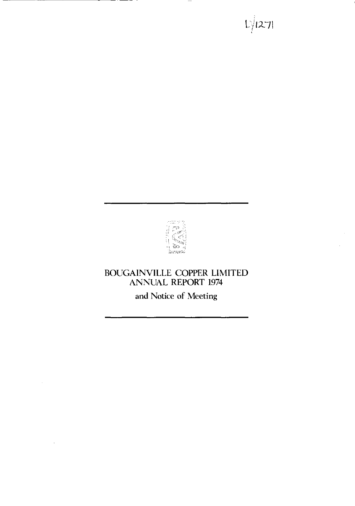$1/1271$ 



# BOUGAINVILLE COPPER LIMITED ANNUAL REPORT 1974

and Notice of Meeting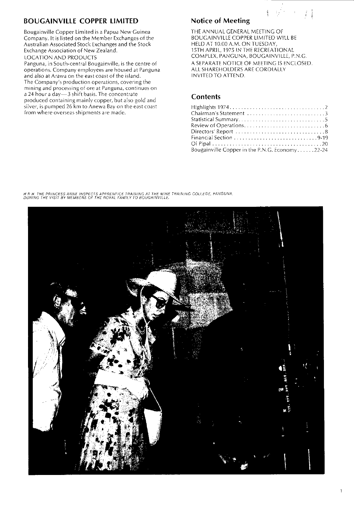## BOUGAINVllLE COPPER LIMITED

Bougainville Copper Limited is a Papua New Guinea Company. It is listed on the Member Exchanges of the Australian Associated Stock Exchanges and the Stock Exchange Association of New Zealand. LOCATION AND PRODUCTS

Panguna, in South-central Bougainville, is the centre of operations. Company employees are housed at Panguna and also at Arawa on the east coast of the island. The Company's production operations, covering the mining and processing of ore at Panguna, continues on a 24 hour a day-3 shift basis. The concentrate produced containing mainly copper, but also gold and silver, is pumped 26 km to Anewa Bay on the east coast from where overseas shipments are made.

## Notice of Meeting

- ----- ------------------------------------

THE ANNUAL GENERAL MEETING OF BOUGAINVILLE COPPER LIMITED WILL BE HELD AT 10.00 A.M. ON TUESDAY, 15TH APRIL, 1975 IN THE RECREATIONAL COMPLEX. PANGUNA, BOUGAINVILLE, P.N.G. A SEPARATE NOTICE OF MEETING IS ENCLOSED. ALL SHAREHOLDERS ARE CORDIALLY INVITED TO ATTEND.

## **Contents**

| Chairman's Statement 3                         |
|------------------------------------------------|
|                                                |
|                                                |
|                                                |
|                                                |
|                                                |
| Bougainville Copper in the P.N.G. Economy22-24 |
|                                                |

H R H. THE PRINCESS ANNE INSPECTS APPRENTICE TRAINING AT THE MINE TRAINING COLLEGE, PANGUNA,<br>DURING THE VISIT BY MEMBERS OF THE ROYAL FAMILY TO BOUGAINVILLE.

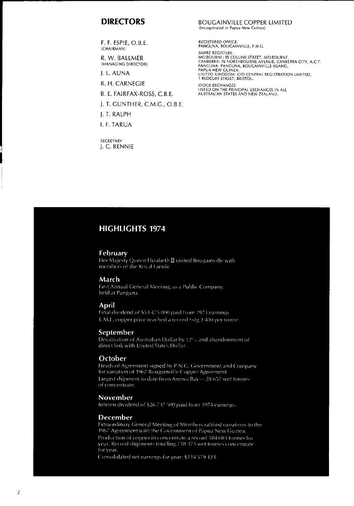## **DIRECTORS**

F. F. ESPIE, O.B.E. (CHAIRMAN)

R. W. BALLMER (MANAGING DIRECTOR)

J. L. AUNA

R. H. CARNEGIE

B. E. FAIRFAX-ROSS, C.B.E.

J. T. GUNTHER, CM.G., O.B.E.

J. T. RALPH

I. F. TARUA

SECRETARY J. C RENNIE

#### BOUGAINVILLE COPPER LIMITED (Incorporated in Papua New Guinea)

REGISTERED OFFICE:<br>PANGUNA, BOUGAINVILLE, P.N.G.

*SHARE REGISTERS:*<br>MELBOURNE: 95 COLLINS STREET, MELBOURNE.<br>CANBERRA: 78 NORTHBOURNE AVENUE, CANBERRA CITY, A.C.T.<br>PANGUNA: PANGUNA, BOUGAINVILLE ISLAND,<br>PAPUA NEW GUINEA.<br>UNITED KINGDOM: C/O CENTRAL REGISTRATION LIMITED,<br> STOCK EXCHANGES:<br>LISTED ON THE PRINCIPAL EXCHANGES IN ALL<br>AUSTRALIAN STATES AND NEW ZEALAND.

### **HIGHLIGHTS 1974**

#### February

Her Majesty Queen Hizabeth  $\rm{I\!I}$  visited Bougainville with members of the Royal Family

#### March

First Annual General Meeting, as a Public Company, held at Panguna.

#### April

Final dividend of \$53.475.000 paid from 1973 earnings L.M.E. copper price reached a record £stg.1 400 per tonne.

#### **September**

Devaluation of Australian Dollar by 12% and abandonment of direct link with United States Dollar.

#### October

Heads of Agreement signed by P.N.G. Government and Company for variation of 1967 Bougainville Copper Agreement. Largest shipment to date from Anewa Bay-28.657 wet tonnes of concentrate.

#### **November**

Interim dividend of \$26.737.500 paid from 1974 earnings.

#### December

Extraordinary General Meeting of Members ratified variations to the 1967 Agreement with the Government of Papua New Guinea. Production of copper in concentrate a record 184.083 tonnes for year. Record shipments totalling 718-373 wet tonnes concentrate for year.

Consolidated net earnings for year: \$114.579.123.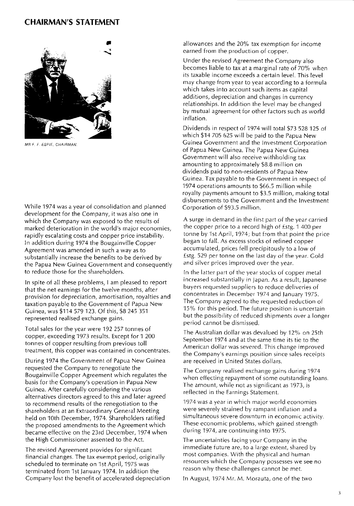## **CHAIRMAN'S STATEMENT**



**MR** *F, F.* **ESP/E, CHAIRMAN** 

While 1974 was a year of consolidation and planned development for the Company, it was also one in which the Company was exposed to the results of marked deterioration in the world's major economies, rapidly escalating costs and copper price instability. In addition during 1974 the Bougainville Copper Agreement was amended in such a way as to substantially increase the benefits to be derived by the Papua New Guinea Government and consequently to reduce those for the shareholders.

In spite of all these problems, I am pleased to report that the net earnings for the twelve months, after provision for depreciation, amortisation, royalties and taxation payable to the Government of Papua New Guinea, was \$114 579 123. Of this, \$8 245 351 represented realised exchange gains.

Total sales for the year were 192 257 tonnes of copper, exceeding 1973 results. Except for 1 200 tonnes of copper resulting from previous toll treatment, this copper was contained in concentrates.

During 1974 the Government of Papua New Guinea requested the Company to renegotiate the Bougainville Copper Agreement which regulates the basis for the Company's operation in Papua New Guinea. After carefully considering the various alternatives directors agreed to this and later agreed to recommend results of the renegotiation to the shareholders at an Extraordinary General Meeting held on 10th December, 1974. Shareholders ratified the proposed amendments to the Agreement which became effective on the 23rd December, 1974 when the High Commissioner assented to the Act.

The revised Agreement provides for significant financial changes. The tax exempt period, originally scheduled to terminate on 1st April, 1975 was terminated from 1st January 1974. In addition the Company lost the benefit of accelerated depreciation allowances and the 20% tax exemption for income earned from the production of copper.

Under the revised Agreement the Company also becomes liable to tax at a marginal rate of 70% when its taxable income exceeds a certain level. This level may change from year to year according to a formula which takes into account such items as capital additions, depreciation and changes in currency relationships. In addition the level may be changed by mutual agreement for other factors such as world inflation.

Dividends in respect of 1974 will total \$73528125 of which \$14 705 625 will be paid to the Papua New Guinea Government and the Investment Corporation of Papua New Guinea. The Papua New Guinea Government will also receive withholding tax amounting to approximately \$8.8 million on dividends paid to non-residents of Papua New Guinea. Tax payable to the Government in respect of 1974 operations amounts to \$66.5 million while royalty payments amount to \$3.5 million, making total disbursements to the Government and the Investment Corporation of \$93.5 million.

A surge in demand in the first part of the year carried the copper price to a record high of £stg. 1 400 per tonne by 1st April, 1974; but from that point the price began to fall. As excess stocks of refined copper accumulated, prices fell precipitously to a low of £stg. 529 per tonne on the last day of the year. Gold and silver prices improved over the year.

In the latter part of the year stocks of copper metal increased substantially in Japan. As a result, Japanese buyers requested suppliers to reduce deliveries of concentrates in December 1974 and January 1975. The Company agreed to the requested reduction of 15% for this period. The future position is uncertain but the possibility of reduced shipments over a longer period cannot be dismissed.

The Australian dollar was devalued by 12% on 25th September 1974 and at the same time its tie to the American dollar was severed. This change improved **the Company's earnings position since sales receipts**  are received in United States dollars.

The Company realised exchange gains during 1974 when effecting repayment of some outstanding loans. The amount, while not as significant as 1973, is reflected in the Earnings Statement.

1974 was a year in which major world economies were severely strained by rampant inflation and a **simultaneous severe downturn in economic activity.**  These economic problems, which gained strength during 1974, are continuing into 1975.

The uncertainties facing your Company in the immediate future are, to a large extent, shared by most companies. With the physical and human **resources which the Company possesses we see no**  reason why these challenges cannot be met.

In August, 1974 Mr. M. Morauta, one of the two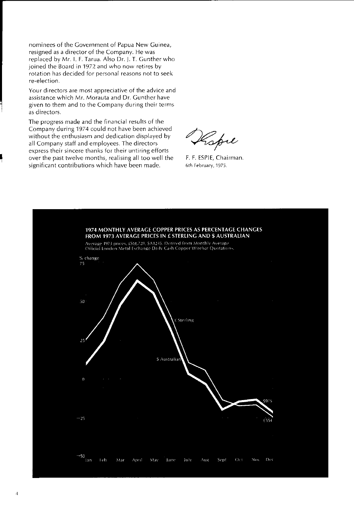nominees of the Government of Papua New Guinea, resigned as a director of the Company. He was replaced by Mr. I. F. Tarua. Also Dr. J. T. Gunther who joined the Board in 1972 and who now retires by rotation has decided for personal reasons not to seek **re-election.** 

Your directors are most appreciative of the advice and assistance which Mr. Morauta and Dr. Gunther have given to them and to the Company during their terms **as directors.** 

The progress made and the financial results of the Company during 1974 could not have been achieved without the enthusiasm and dedication displayed by all Company staff and employees. The directors express their sincere thanks for their untiring efforts over the past twelve months, realising all too well the significant contributions which have been made.

Hope

F. F. ESPIE, Chairman. **6th February, 1975.** 



I I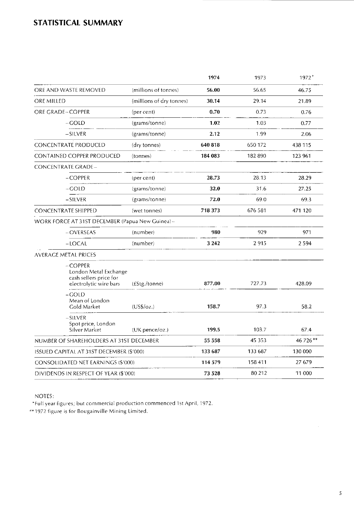# **STATISTICAL SUMMARY**

|                                                                                        |                          | 1974    | 1973     | 1972*    |
|----------------------------------------------------------------------------------------|--------------------------|---------|----------|----------|
| ORE AND WASTE REMOVED                                                                  | (millions of tonnes)     | 56.00   | 56.65    | 46.75    |
| ORE MILLED                                                                             | (millions of dry tonnes) | 30.14   | 29.14    | 21.89    |
| ORE GRADE-COPPER                                                                       | (per cent)               | 0.70    | 0.73     | 0.76     |
| $ GOLD$                                                                                | (grams/tonne)            | 1.02    | 1.03     | 0.77     |
| –SILVER                                                                                | (grams/tonne)            | 2.12    | 1.99     | 2.06     |
| CONCENTRATE PRODUCED                                                                   | (dry tonnes)             | 640 818 | 650 172  | 438 115  |
| <b>CONTAINED COPPER PRODUCED</b>                                                       | (tonnes)                 | 184 083 | 182 890  | 123 961  |
| <b>CONCENTRATE GRADE-</b>                                                              |                          |         |          |          |
| -COPPER                                                                                | (per cent)               | 28.73   | 28.13    | 28.29    |
| -GOLD                                                                                  | (grams/tonne)            | 32.0    | 31.6     | 27.25    |
| -SILVER                                                                                | (grams/tonne)            | 72.0    | 69.0     | 69.3     |
| <b>CONCENTRATE SHIPPED</b>                                                             | (wet tonnes)             | 718 373 | 676 581  | 471 120  |
| WORK FORCE AT 31ST DECEMBER (Papua New Guinea) -                                       |                          |         |          |          |
| -OVERSEAS                                                                              | (number)                 | 980     | 929      | 971      |
| $-LOCAL$                                                                               | (number)                 | 3 2 4 2 | 2915     | 2594     |
| <b>AVERAGE METAL PRICES</b>                                                            |                          |         |          |          |
| $-COPPER$<br>London Metal Exchange<br>cash sellers price for<br>electrolytic wire bars | (£Stg./tonne)            | 877.00  | 727 73   | 428.09   |
| -GOLD<br>Mean of London<br>Gold Market                                                 | (US\$/oz.)               | 158.7   | 97.3     | 58.2     |
| $-SILVER$<br>Spot price, London<br>Silver Market                                       | (UK pence/oz.)           | 199.5   | 103.7    | 67.4     |
| NUMBER OF SHAREHOLDERS AT 31ST DECEMBER                                                |                          | 55 558  | 45 3 5 3 | 46 726** |
| ISSUED CAPITAL AT 31ST DECEMBER (\$'000)                                               |                          | 133 687 | 133 687  | 130 000  |
| CONSOLIDATED NET EARNINGS (\$'000)                                                     |                          | 114 579 | 158 411  | 27 679   |
| DIVIDENDS IN RESPECT OF YEAR (\$'000)                                                  |                          | 73 528  | 80 212   | 11 000   |
|                                                                                        |                          |         |          |          |

NOTES:

"Full year fjgures; but commercial production commenced 1 st April, 1972.

\*\* 1972 figure is for Bougainville Mining Limited.

 $\bar{z}$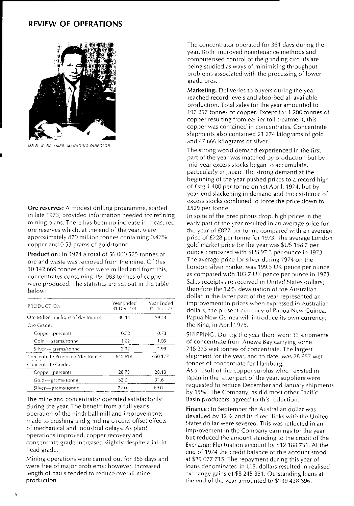## REVIEW OF OPERATIONS



MR R W, BALLMER, MANAGING DIRECTOR

Ore reserves: A modest drilling programme, started in late 1973, provided information needed for refining mining plans. There has been no increase in measured ore reserves which, at the end of the year, were approximately 870 million tonnes containing 0.47% copper and 0.53 grams of gold/tonne.

Production: In 1974 a total of 56 000 525 tonnes of are and waste was removed from the mine. Of this 30142669 tonnes of ore were milled and from this, concentrates containing 184 083 tonnes of copper were produced. The statistics are set out in the table below:

| <b>PRODUCTION</b>                   | Year Ended<br>31 Dec. '74 | Year Ended<br>31 Dec. '73 |
|-------------------------------------|---------------------------|---------------------------|
| Ore Milled (millions of dry tonnes) | 30.14                     | 29.14                     |
| Ore Grade:                          |                           |                           |
| Copper (percent)                    | 0.70                      | 0.73                      |
| Gold - grams/tonne                  | 1.02                      | 1.03                      |
| Silver--grams/tonne                 | 2.12                      | 1.99                      |
| Concentrate Produced (dry tonnes)   | 640 818                   | 650 172                   |
| Concentrate Grade:                  |                           |                           |
| Copper (percent)                    | 28.73                     | 28 13                     |
| Gold--grams/tonne                   | 32.0                      | 31.6                      |
| Silver- $-g$ rams/tonne             | 72.0                      | 69.0                      |

The mine and concentrator operated satisfactorily during the year. The benefit from a full year's operation of the ninth ball mill and improvements made to crushing and grinding circuits offset effects of mechanical and industrial delays. As plant operations improved, copper recovery and concentrate grade increased slightly despite a fall in head grade.

Mining operations were carried out for 365 days and were free of major problems; however, increased length of hauls tended to reduce overall mine production.

The concentrator operated for 361 days during the year. Both improved maintenance methods and computerised control of the grinding circuits are being studied as ways of minimising throughput problems associated with the processing of lower grade ores.

Marketing: Deliveries to buyers during the year reached record levels and absorbed all available production. Total sales for the year amounted to 192257 tonnes of copper. Except for 1 200 tonnes of copper resulting from earlier toll treatment, this copper was contained in concentrates. Concentrate shipments also contained 21 274 kilograms of gold and 47 666 kilograms of silver.

The strong world demand experienced in the first part of the year was matched by production but by mid-year excess stocks began to accumulate, particularly in Japan. The strong demand at the beginning of the year pushed prices to a record high of £stg 1400 per tonne on 1st April, 1974, but by year-end slackening in demand and the existence of excess stocks combined to force the price down to £529 per tonne.

In spite of the precipitous drop, high prices in the early part of the year resulted in an average price for the year of £877 per tonne compared with an average price of £728 per tonne for 1973. The average London gold market price for the year was \$US 158.7 per ounce compared with \$US 97.3 per ounce in 1973. The average price for silver during 1974 on the London silver market was 199.5 UK pence per ounce as compared with 103.7 UK pence per ounce in 1973. Sales receipts are received in United States dollars; therefore the 12% devaluation of the Australian dollar in the latter part of the year represented an improvement in prices when expressed in Australian dollars, the present currency of Papua New Guinea. Papua New Guinea will introduce its own currency, the Kina, in April 1975.

SHIPPING: During the year there were 33 shipments of concentrate from Anewa Bay carrying some 718373 wet tonnes of concentrate. The largest shipment for the year, and to date, was 28 657 wet tonnes of concentrate for Hamburg. As a result of the copper surplus which existed in Japan in the latter part of the year, suppliers were requested to reduce December and January shipments by 15%. The Company, as did most other Pacific Basin producers, agreed to this reduction.

Finance: In September the Australian dollar was devalued by 12% and its direct links with the United States dollar were severed. This was reflected in an improvement in the Company earnings for the year but reduced the amount standing to the credit of the Exchange Fluctuation account by 512 188 731. At the end of 1974 the credit balance of this account stood at \$19 077 715. The repayment during this year of loans denominated in U.s. dollars resulted in realised exchange gains of \$8 245 351. Outstanding loans at the end of the year amounted to \$139438696.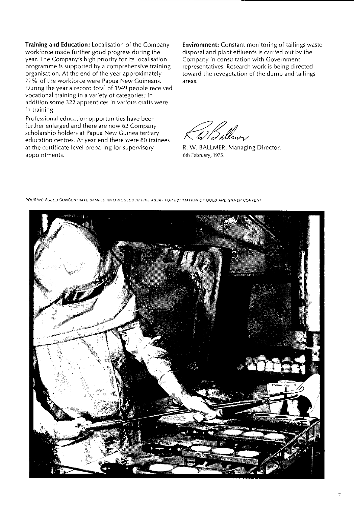**Training and Education:** Localisation of the Company workforce made further good progress during the year. The Company's high priority for its localisation programme is supported by a comprehensive training organisation. At the end of the year approximately 77% of the workforce were Papua New Guineans. During the year a record total of 1949 people received **vocational training in a variety of categories; in addition some 322 apprentices in various crafts were in training.** 

Professional education opportunities have been further enlarged and there are now 62 Company scholarship holders at Papua New Guinea tertiary education centres. At year end there were 80 trainees at the certificate level preparing for supervisory appointments.

**Environment:** Constant monitoring of tailings waste disposal and plant effluents is carried out by the Company in consultation with Government representatives. Research work is being directed toward the revegetation of the dump and tailings **areas.** 

R. W. BALLMER, Managing Director. **6th February, 1975.** 

**POURING FUSED CONCENTRATE SAMPLE INTO MOULDS IN FIRE ASSAY FOR ESTIMATION OF GOLD AND SILVER CONTENT** 

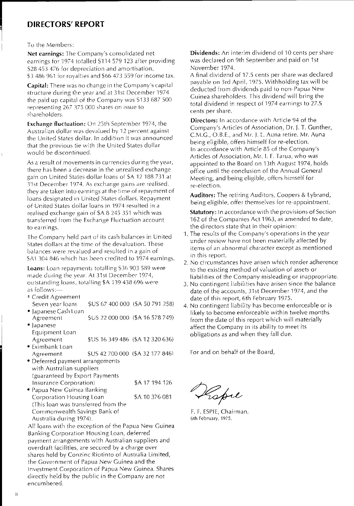# **DIRECTORS' REPORT**

To the Members:

Net earnings: The Company's consolidated net earnings for 1974 totalled \$114 579 123 after providing 528453476 for depreciation and amortisation, \$3,486,961 for royalties and \$66,473,559 for income tax.

Capital: There was no change in the Company's capital structure during the year and at 31st December 1974 the paid up capital of the Company was 5133 687 500 representing 267 375 000 shares on issue to shareholders,

Exchange fluctuation: On 25th September 1974, the Australian dollar was devalued by 12 percent against the United States dollar, In addition it was announced that the previous tie with the United States dollar would be discontinued.

As a result of movements in currencies during the year, there has been a decrease in the un realised exchange gain on United States dollar loans of \$A 12 188 731 at :31st December 1974. As exchange gains are realised, they are taken into earnings at the time of repayment of loans designated in United States dollars, Repayment of United States dollar loans in 1974 resulted in a realised exchange gain of \$A 8 245 351 which was transferred from the Exchange Fluctuation account to earnings.

The Company held part of its cash balances in United States dollars at the time of the devaluation, These balances were revalued and resulled in a gain of SA1 304 846 which has been credited to 1974 earnings,

loans: Loan repayments totalling \$36 903 589 were made during the year. At 31st December 1974, outstanding loans, totalling \$A 139 438 696 were as follows:-

- , Credit Agreement Seven year loans \$US 67 400 000 (\$A 50 791 258)
- Japanese Cash Loan Agreement SUS 22 000 000 (\$A 16 578 749)
- Japanese Equipment Loan Agreement \$US 16 349 486 (\$A 12 320 636)
- Eximbank Loan \$US 42 700 000 (\$A 32 177 846)
- Deferred payment arrangements with Australian suppliers
- (guaranteed by Export Payments Insurance Corporation) \$A 17194126
- Papua New Guinea Banking Corporation Housing Loan \$A 10 376 081 (This loan was transferred from the Commonwealth Savings Bank of Australia during 1974),

All loans with the exception of the Papua New Guinea Banking Corporation Housing Loan, deferred payment arrangements with Australian suppliers and overdraft facilities, are secured by a charge over shares held by Conzinc Riotinto of Australia Limited, the Government of Papua New Guinea and the Investment Corporation of Papua New Guinea, Shares directly held by the public in the Company are not encumbered,

Dividends: An interim dividend of 10 cents per share was declared on 9th September and paid on 1st November 1974,

A final dividend of 17,5 cents per share was declared payable on 3rd April, 1975, Withholding tax will be deducted from dividends paid to non-Papua New Guinea shareholders, This dividend will bring the total dividend in respect of 1974 earnings to 27,S cents per share.

Directors: In accordance with Article 94 of the Company's Articles of Association, Dr, J, T, Gunther, C.M.G., O.B.E., and Mr. J. L. Auna retire. Mr. Auna being eligible, offers himself for re-election, In accordance with Article 85 of the Company's Articles of Association, Mr, L F, Tarua, who was appointed to the Board on 13th August 1974, holds office until the conclusion of the Annual General Meeting, and being eligible, offers himself for re-election.

Auditors: The retiring Auditors, Coopers & Lybrand, being eligible, offer themselves for re-appointment

Statutory: In accordance with the provisions of Section 162 of the Companies Act 1963, as amended to date, the directors state that in their opinion:

- 1, The results of the Company's operations in the year under review have not been materially affected by items of an abnormal character except as mentioned in this report.
- 2, No circumstances have arisen which render adherence to the existing method of valuation of assets or liabilities of the Company misleading or inappropriate,
- 3, No contingent liabilities have arisen since the balance date of the accounts, 31st December 1974, and the date of this report, 6th February 1975,
- 4, No contingent liability has become enforceable or is likely to become enforceable within twelve months from the date of this report which will materially affect the Company in its ability to meet its obligations as and when they fall due,

For and on behalf of the Board,

Hope

F, F, ESPIE, Chairman, 6th February, 1975.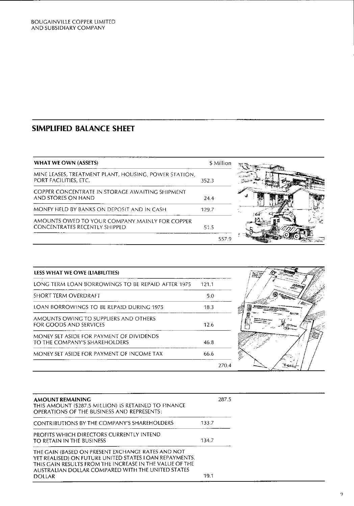### BOUGAINVILLE COPPER LIMITED AND SUBSIDIARY COMPANY

# **SIMPLIFIED BALANCE SHEET**

| WHAT WE OWN (ASSETS)                                                            | \$ Million |  |
|---------------------------------------------------------------------------------|------------|--|
| MINE LEASES, TREATMENT PLANT, HOUSING, POWER STATION,<br>PORT FACILITIES, ETC.  | 352.3      |  |
| COPPER CONCENTRATE IN STORAGE AWAITING SHIPMENT<br>AND STORES ON HAND           | 24.4       |  |
| MONEY HELD BY BANKS ON DEPOSIT AND IN CASH                                      | 129.7      |  |
| AMOUNTS OWED TO YOUR COMPANY MAINLY FOR COPPER<br>CONCENTRATES RECENTLY SHIPPED | 51.5       |  |
|                                                                                 | 557.9      |  |

| LESS WHAT WE OWE (LIABILITIES)                                            |       | 쨢 |
|---------------------------------------------------------------------------|-------|---|
| LONG TERM LOAN BORROWINGS TO BE REPAID AFTER 1975                         | 121.1 |   |
| SHORT TERM OVERDRAFT                                                      | 5.0   |   |
| LOAN BORROWINGS TO BE REPAID DURING 1975                                  | 18.3  |   |
| AMOUNTS OWING TO SUPPLIERS AND OTHERS<br>FOR GOODS AND SERVICES           | 12.6  |   |
| MONEY SET ASIDE FOR PAYMENT OF DIVIDENDS<br>TO THE COMPANY'S SHAREHOLDERS | 46.8  |   |
| MONEY SET ASIDE FOR PAYMENT OF INCOME TAX                                 | 66.6  |   |
|                                                                           | 270.4 |   |

| AMOUNT REMAINING<br>THIS AMOUNT (\$287.5 MILLION) IS RETAINED TO FINANCE<br>OPERATIONS OF THE BUSINESS AND REPRESENTS:                                                                                                                       |       | 287.5 |
|----------------------------------------------------------------------------------------------------------------------------------------------------------------------------------------------------------------------------------------------|-------|-------|
| CONTRIBUTIONS BY THE COMPANY'S SHAREHOLDERS                                                                                                                                                                                                  | 133.7 |       |
| PROFITS WHICH DIRECTORS CURRENTLY INTEND<br>TO RETAIN IN THE BUSINESS                                                                                                                                                                        | 134.7 |       |
| THE GAIN (BASED ON PRESENT EXCHANGE RATES AND NOT<br>YET REALISED) ON FUTURE UNITED STATES LOAN REPAYMENTS.<br>THIS GAIN RESULTS FROM THE INCREASE IN THE VALUE OF THE<br>AUSTRALIAN DOLLAR COMPARED WITH THE UNITED STATES<br><b>DOLLAR</b> | 19.1  |       |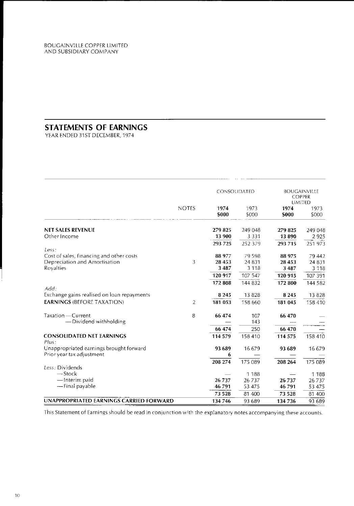## **STATEMENTS OF EARNINGS**

YEAR ENDED 31ST DECEMBER, 1974

|                                            |                | CONSOLIDATED  |               |               | BOUGAINVILLE<br><b>COPPER</b><br>LIMITED |
|--------------------------------------------|----------------|---------------|---------------|---------------|------------------------------------------|
|                                            | <b>NOTES</b>   | 1974<br>\$000 | 1973<br>\$000 | 1974<br>\$000 | 1973<br>\$000                            |
| <b>NET SALES REVENUE</b>                   |                | 279 825       | 249 048       | 279 825       | 249 048                                  |
| Other Income                               |                | 13 900        | 3 3 3 1       | 13890         | 2 9 2 5                                  |
|                                            |                | 293725        | 252 379       | 293 715       | 251 973                                  |
| Less:                                      |                |               |               |               |                                          |
| Cost of sales, financing and other costs   |                | 88 977        | 79 5 98       | 88 975        | 79 442                                   |
| Depreciation and Amortisation              | 3              | 28 453        | 24 8 31       | 28 453        | 24 8 31                                  |
| Royalties                                  |                | 3 4 8 7       | 3 1 1 8       | 3 4 8 7       | 3 1 1 8                                  |
|                                            |                | 120 917       | 107 547       | 120 915       | 107 391                                  |
|                                            |                | 172 808       | 144 832       | 172 800       | 144 582                                  |
| Add:                                       |                |               |               |               |                                          |
| Exchange gains realised on loan repayments |                | 8 2 4 5       | 13828         | 8 2 4 5       | 13828                                    |
| <b>EARNINGS (BEFORE TAXATION)</b>          | $\overline{2}$ | 181 053       | 158 660       | 181 045       | 158 410                                  |
| Taxation — Current                         | 8              | 66474         | 107           | 66 470        |                                          |
| -Dividend withholding                      |                |               | 143           |               |                                          |
|                                            |                | 66 474        | 250           | 66 470        |                                          |
| <b>CONSOLIDATED NET EARNINGS</b><br>Plus:  |                | 114 579       | 158 410       | 114 575       | 158 410                                  |
| Unappropriated earnings brought forward    |                | 93 689        | 16679         | 93 689        | 16679                                    |
| Prior year tax adjustment                  |                | 6             |               |               |                                          |
|                                            |                | 208 274       | 175 089       | 208 264       | 175 089                                  |
| Less: Dividends                            |                |               |               |               |                                          |
| $-$ Stock                                  |                |               | 1 1 8 8       |               | 1188                                     |
| — Interim paid                             |                | 26 737        | 26737         | 26 737        | 26 7 3 7                                 |
| — Final payable                            |                | 46 791        | 53 475        | 46 791        | 53 475                                   |
|                                            |                | 73 528        | 81 400        | 73 528        | 81 400                                   |
| UNAPPROPRIATED EARNINGS CARRIED FORWARD    |                | 134 746       | 93 689        | 134 736       | 93 689                                   |

This Statement of Earnings should be read in conjunction with the explanatory notes accompanying these accounts.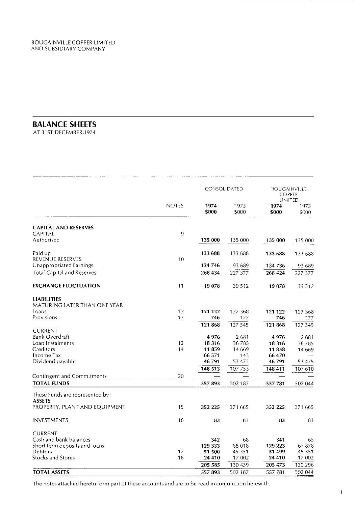## **BALANCE SHEETS**

AT 31ST DECEMBER,1974

|                                                |              |                   | CONSOLIDATED     | <b>BOUGAINVILLE</b><br><b>COPPER</b><br>LIMITED |                  |
|------------------------------------------------|--------------|-------------------|------------------|-------------------------------------------------|------------------|
|                                                | <b>NOTES</b> | 1974<br>\$000     | 1973<br>\$000    | 1974<br>\$000                                   | 1973<br>\$000    |
| <b>CAPITAL AND RESERVES</b>                    |              |                   |                  |                                                 |                  |
| CAPITAL<br>Authorised                          | 9            | 135 000           | 135 000          | 135 000                                         | 135 000          |
| Paid up<br><b>REVENUE RESERVES</b>             | 10           | 133 688           | 133 688          | 133 688                                         | 133 688          |
| Unappropriated Earnings                        |              | 134 746           | 93 689           | 134 736                                         | 93 689           |
| Total Capital and Reserves                     |              | 268 434           | 227 377          | 268 424                                         | 227 377          |
| <b>EXCHANGE FLUCTUATION</b>                    | 11           | 19 078            | 39 512           | 19 078                                          | 39512            |
| <b>LIABILITIES</b>                             |              |                   |                  |                                                 |                  |
| MATURING LATER THAN ONE YEAR:<br>Loans         | 12           | 121 122           | 127 368          | 121 122                                         | 127 368          |
| Provisions                                     | 13           | 746               | 177              | 746                                             | 177              |
|                                                |              | 121 868           | 127 545          | 121 868                                         | 127 545          |
| <b>CURRENT</b>                                 |              |                   |                  |                                                 |                  |
| Bank Overdraft                                 |              | 4976              | 2681             | 4976                                            | 2681             |
| Loan Instalments                               | 12           | 18 3 16           | 36785            | 18 316                                          | 36 785           |
| Creditors                                      | 14           | 11859             | 14 6 6 9         | 11858                                           | 14 6 6 9         |
| <b>Income Tax</b><br>Dividend payable          |              | 66 571<br>46 791  | 143<br>53 475    | 66 470<br>46 791                                | 53 475           |
|                                                |              | 148 513           | 107 753          | 148 411                                         | 107 610          |
| Contingent and Commitments                     | 20           |                   |                  |                                                 |                  |
| <b>TOTAL FUNDS</b>                             |              | 557893            | 502 187          | 557781                                          | 502 044          |
| These Funds are represented by:                |              |                   |                  |                                                 |                  |
| <b>ASSETS</b><br>PROPERTY, PLANT AND EQUIPMENT | 15           | 352 225           | 371 665          | 352 225                                         | 371 665          |
| <b>INVESTMENTS</b>                             | 16           | 83                | 83               | 83                                              | 83               |
| <b>CURRENT</b>                                 |              |                   |                  |                                                 |                  |
| Cash and bank balances                         |              | 342               | 68               | 341                                             | 65               |
| Short term deposits and loans                  |              | 129 333           | 68 018           | 129 223                                         | 67878            |
| <b>Debtors</b><br>Stocks and Stores            | 17<br>18     | 51 500<br>24 4 10 | 45 351<br>17 002 | 51499<br>24 4 10                                | 45 351<br>17 002 |
|                                                |              | 205 585           | 130 439          | 205 473                                         | 130 296          |
| <b>TOTAL ASSETS</b>                            |              | 557893            | 502 187          | 557781                                          | 502 044          |

The notes attached hereto form part of these accounts and are to be read in conjunction herewith.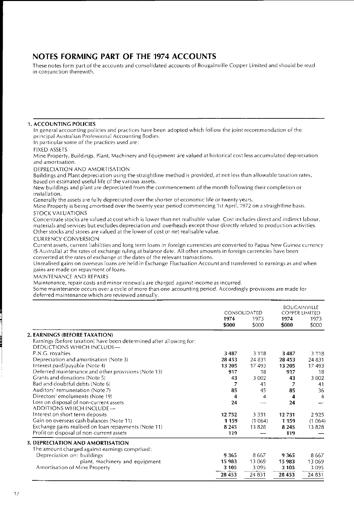# NOTES FORMING PART OF THE 1974 ACCOUNTS

These notes form part of the accounts and consolidated accounts of Bougainville Copper Limited and should be read in conjunction therewith.

### 1. ACCOUNTING POLICIES

In general accounting policies and practices have been adopted which follow the joint recommendation of the principal Australian Professional Accounting Bodies.

In particular some of the practices used are:

FIXED ASSETS

Mine Property, Buildings, Plant, Machinery and Equipment are valued at historical cost less accumulated depreciation and amortisation.

DEPRECIATION AND AMORTISATION

Buildings and Plant depreciation using the straightline method is provided, at not less than allowable taxation rates, based on estimated useful life of the various assets.

New buildings and plant are depreciated from the commencement of the month following their completion or installation.

Generally the assets are fully depreciated over the shorter of economic life or twenty years.

Mine Property is being amortised over the twenty year period commencing 1st April, 1972 on a straightline basis. STOCK VALUATIONS

Concentrate stocks are valued at cost which is lower than net realisable value. Cost includes direct and indirect labour, materials and services but excludes depreciation and overheads except those directly related to production activities. Other stocks and stores are valued at the lower of cost or net realisable value.

### CURRENCY CONVERSION

Current assets, current liabilities and long term loans in foreign currencies are converted to Papua New Guinea currency (\$ Australia) at the rates of exchange ruling at balance date. All other amounts in foreign currencies have been converted at the rates of exchange at the dates of the relevant transactions.

Unrealised gains on overseas loans are held in Exchange Fluctuation Account and transferred to earnings as and when gains are made on repayment of loans.

#### MAINTENANCE AND REPAIRS

Maintenance, repair costs and minor renewals are charged against income as incurred.

Some maintenance occurs over a cycle of more than one accounting period. Accordingly provisions are made for deferred maintenance which are reviewed annually.

|                                                                     | <b>CONSOLIDATED</b> |               | BOUGAINVILLE<br><b>COPPER LIMITED</b> |               |
|---------------------------------------------------------------------|---------------------|---------------|---------------------------------------|---------------|
|                                                                     | 1974<br>\$000       | 1973<br>\$000 | 1974<br>\$000                         | 1973<br>\$000 |
| 2. EARNINGS (BEFORE TAXATION)                                       |                     |               |                                       |               |
| Earnings (before taxation) have been determined after allowing for: |                     |               |                                       |               |
| DEDUCTIONS WHICH INCLUDE-                                           |                     |               |                                       |               |
| P.N.G. royalties                                                    | 3487                | 3 1 1 8       | 3487                                  | 3 1 1 8       |
| Depreciation and amortisation (Note 3)                              | 28 4 5 3            | 24 8 31       | 28 4 53                               | 24 8 31       |
| Interest paid/payable (Note 4)                                      | 13 205              | 17493         | 13 205                                | 17493         |
| Deferred maintenance and other provisions (Note 13)                 | 917                 | 18            | 917                                   | 18            |
| Grants and donations (Note 5)                                       | 43                  | 3 0 0 2       | 43                                    | 3 0 0 2       |
| Bad and doubtful debts (Note 6)                                     | 7                   | 41            | 7                                     | 41            |
| Auditors' remuneration (Note 7)                                     | 85                  | 45            | 85                                    | 36            |
| Directors' emoluments (Note 19)                                     | 4                   | 4             | 4                                     | 4             |
| Loss on disposal of non-current assets                              | 24                  |               | 24                                    |               |
| ADDITIONS WHICH INCLUDE-                                            |                     |               |                                       |               |
| Interest on short term deposits                                     | 12752               | 3 3 3 1       | 12731                                 | 2925          |
| Gain on overseas cash balances (Note 11)                            | 1159                | (1064)        | 1159                                  | (1064)        |
| Exchange gains realised on loan repayments (Note 11)                | 8 2 4 5             | 13828         | 8 2 4 5                               | 13828         |
| Profit on disposal of non-current assets                            | 119                 |               | 119                                   |               |
| 3. DEPRECIATION AND AMORTISATION                                    |                     |               |                                       |               |
| The amount charged against earnings comprised:                      |                     |               |                                       |               |
| Depreciation on: buildings                                          | 9 3 6 5             | 8667          | 9 3 6 5                               | 8667          |
| plant, machinery and equipment                                      | 15 983              | 13 069        | 15 983                                | 13 069        |
| Amortisation of Mine Property                                       | 3 1 0 5             | 3 0 9 5       | 3 105                                 | 3 0 9 5       |
|                                                                     | 28 4 53             | 24 8 31       | 28 453                                | 24 831        |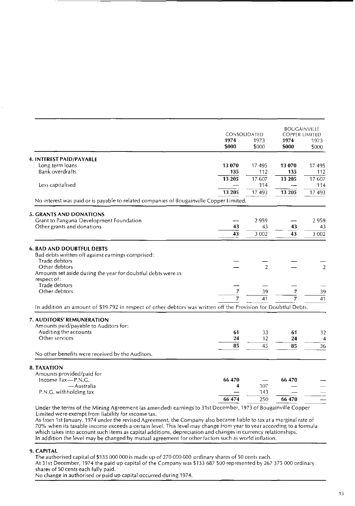|                                                                                                                 |               |                | BOUGAINVILLE          |                 |
|-----------------------------------------------------------------------------------------------------------------|---------------|----------------|-----------------------|-----------------|
|                                                                                                                 | CONSOLIDATED  |                | <b>COPPER LIMITED</b> |                 |
|                                                                                                                 | 1974<br>\$000 | 1973<br>\$000  | 1974<br>\$000         | 1973<br>\$000   |
| <b>4. INTEREST PAID/PAYABLE</b>                                                                                 |               |                |                       |                 |
| Long term loans                                                                                                 | 13070         | 17495          | 13070                 | 17495           |
| <b>Bank overdrafts</b>                                                                                          | 135           | 112            | 135                   | 112             |
|                                                                                                                 | 13205         | 17 607         | 13 205                | 17 607          |
| Less capitalised                                                                                                | 13 205        | 114<br>17 4 93 |                       | 114<br>17 493   |
| No interest was paid or is payable to related companies of Bougainville Copper Limited.                         |               |                | 13 205                |                 |
|                                                                                                                 |               |                |                       |                 |
| <b>5. GRANTS AND DONATIONS</b><br>Grant to Panguna Development Foundation                                       |               | 2959           |                       | 2959            |
| Other grants and donations                                                                                      | 43            | 43             | 43                    | 43              |
|                                                                                                                 | 43            | 3 0 0 2        | 43                    | 3 0 0 2         |
| <b>6. BAD AND DOUBTFUL DEBTS</b>                                                                                |               |                |                       |                 |
| Bad debts written off against earnings comprised:                                                               |               |                |                       |                 |
| Trade debtors                                                                                                   |               |                |                       |                 |
| Other debtors                                                                                                   |               | $\overline{2}$ |                       | $\overline{2}$  |
| Amounts set aside during the year for doubtful debts were in<br>respect of:                                     |               |                |                       |                 |
| Trade debtors                                                                                                   |               |                |                       |                 |
| Other debtors                                                                                                   | 7             | 39             | 7                     | 39              |
|                                                                                                                 |               | 41             |                       | $\overline{41}$ |
| In addition an amount of \$19 792 in respect of other debtors was written off the Provision for Doubtful Debts. |               |                |                       |                 |
| 7. AUDITORS' REMUNERATION                                                                                       |               |                |                       |                 |
| Amounts paid/payable to Auditors for:                                                                           |               |                |                       |                 |
| Auditing the accounts                                                                                           | 61            | 33             | 61                    | 32              |
| Other services                                                                                                  | 24            | 12             | 24                    | 4               |
| No other benefits were received by the Auditors.                                                                | 85            | 45             | 85                    | 36              |
|                                                                                                                 |               |                |                       |                 |
| 8 TAXATION                                                                                                      |               |                |                       |                 |
| Amounts provided/paid for                                                                                       |               |                |                       |                 |
| Income Tax-P.N.G.<br>— Australia                                                                                | 66 470<br>4   | 107            | 66 470                |                 |
| P.N.G. withholding tax                                                                                          |               | 143            |                       |                 |
|                                                                                                                 | 66 474        | 250            | 66470                 |                 |
| Under the terms of the Mining Agreement (as amended) earnings to 31st December, 1973 of Bougainville Copper     |               |                |                       |                 |
| Limited were exempt from liability for income tax.                                                              |               |                |                       |                 |

As from 1st January, 1974 under the revised Agreement, the Company also became liable to tax at a marginal rate of 70% when its taxable income exceeds a certain level. This level may change from year to year according to a formula which takes into account such items as capital additions, depreciation and changes in currency relationships. **In** addition the level may be changed by mutual agreement for other factors such as world inflation.

### 9. CAPITAL

The authorised capital of \$135 000 000 is made up of 270 000 000 ordinary shares of 50 cents each. At 31st December, 1974 the paid up capital of the Company was \$133 687 500 represented by 267 375 000 ordinary shares of 50 cents each fully paid.

No change in authorised or paid up capital occurred during 1974.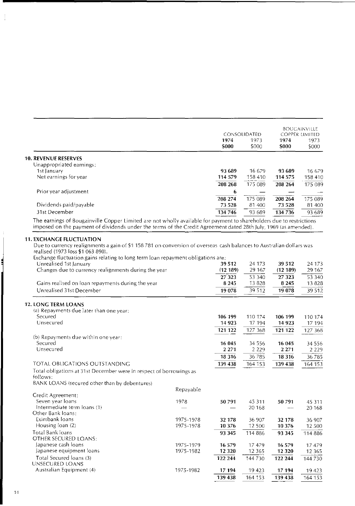|                                                                                                                                                                                                                                         |                        | <b>CONSOLIDATED</b> |                  |                    | BOUGAINVILLE<br><b>COPPER LIMITED</b> |
|-----------------------------------------------------------------------------------------------------------------------------------------------------------------------------------------------------------------------------------------|------------------------|---------------------|------------------|--------------------|---------------------------------------|
|                                                                                                                                                                                                                                         |                        | 1974                | 1973             | 1974               | 1973                                  |
|                                                                                                                                                                                                                                         |                        | \$000               | \$000            | \$000              | \$000                                 |
| <b>10. REVENUE RESERVES</b>                                                                                                                                                                                                             |                        |                     |                  |                    |                                       |
| Unappropriated earnings:                                                                                                                                                                                                                |                        |                     |                  |                    |                                       |
| 1st January                                                                                                                                                                                                                             |                        | 93 689              | 16 679           | 93 689             | 16679                                 |
| Net earnings for year                                                                                                                                                                                                                   |                        | 114 579             | 158 410          | 114 575            | 158 410                               |
|                                                                                                                                                                                                                                         |                        | 208 268             | 175 089          | 208 264            | 175 089                               |
| Prior year adjustment                                                                                                                                                                                                                   |                        | 6                   |                  |                    |                                       |
|                                                                                                                                                                                                                                         |                        | 208 274             | 175 089          | 208 264            | 175 089                               |
| Dividends paid/payable<br>31st December                                                                                                                                                                                                 |                        | 73 5 28<br>134 746  | 81 400<br>93 689 | 73 5 28<br>134 736 | 81 400<br>93 689                      |
|                                                                                                                                                                                                                                         |                        |                     |                  |                    |                                       |
| The earnings of Bougainville Copper Limited are not wholly available for payment to shareholders due to restrictions<br>imposed on the payment of dividends under the terms of the Credit Agreement dated 28th July, 1969 (as amended). |                        |                     |                  |                    |                                       |
| <b>11. EXCHANGE FLUCTUATION</b>                                                                                                                                                                                                         |                        |                     |                  |                    |                                       |
| Due to currency realignments a gain of \$1 158 781 on conversion of overseas cash balances to Australian dollars was                                                                                                                    |                        |                     |                  |                    |                                       |
| realised (1973 loss \$1 063 890).                                                                                                                                                                                                       |                        |                     |                  |                    |                                       |
| Exchange fluctuation gains relating to long term loan repayment obligations are:<br>Unrealised 1st January                                                                                                                              |                        | 39 5 12             | 24 173           | 39 5 12            | 24 173                                |
| Changes due to currency realignments during the year                                                                                                                                                                                    |                        | (12189)             | 29 167           | (12189)            | 29 167                                |
|                                                                                                                                                                                                                                         |                        | 27 323              | 53 340           | 27 323             | 53 340                                |
| Gains realised on loan repayments during the year                                                                                                                                                                                       |                        | 8 2 4 5             | 13828            | 8 2 4 5            | 13 8 28                               |
| Unrealised 31st December                                                                                                                                                                                                                |                        | 19 078              | 39 512           | 19 078             | 39 5 12                               |
|                                                                                                                                                                                                                                         |                        |                     |                  |                    |                                       |
| <b>12. LONG TERM LOANS</b>                                                                                                                                                                                                              |                        |                     |                  |                    |                                       |
| (a) Repayments due later than one year:<br>Secured                                                                                                                                                                                      |                        | 106 199             | 110 174          | 106 199            |                                       |
| Unsecured                                                                                                                                                                                                                               |                        | 14 9 23             | 17 194           | 14 9 23            | 110 174<br>17 194                     |
|                                                                                                                                                                                                                                         |                        | 121 122             | 127 368          | 121 122            | 127 368                               |
| (b) Repayments due within one year:                                                                                                                                                                                                     |                        |                     |                  |                    |                                       |
| Secured                                                                                                                                                                                                                                 |                        | 16 045              | 34 5 5 6         | 16 045             | 34 5 5 6                              |
| Unsecured                                                                                                                                                                                                                               |                        | 2 2 7 1             | 2 2 2 9          | 2 2 7 1            | 2 2 2 9                               |
|                                                                                                                                                                                                                                         |                        | 18 3 16             | 36785            | 18 3 16            | 36785                                 |
| TOTAL OBLIGATIONS OUTSTANDING                                                                                                                                                                                                           |                        | 139 438             | 164 153          | 139 438            | 164 153                               |
| Total obligations at 31st December were in respect of borrowings as                                                                                                                                                                     |                        |                     |                  |                    |                                       |
| follows:<br>BANK LOANS (secured other than by debentures)                                                                                                                                                                               |                        |                     |                  |                    |                                       |
|                                                                                                                                                                                                                                         | Repayable              |                     |                  |                    |                                       |
| Credit Agreement:                                                                                                                                                                                                                       |                        |                     |                  |                    |                                       |
| Seven year loans                                                                                                                                                                                                                        | 1978                   | 50791               | 45 311           | 50 791             | 45 311                                |
| Intermediate term loans (1)                                                                                                                                                                                                             |                        |                     | 20 168           |                    | 20 168                                |
| Other Bank loans:                                                                                                                                                                                                                       |                        |                     |                  |                    |                                       |
| Eximbank loans<br>Housing loan (2)                                                                                                                                                                                                      | 1975-1978<br>1975-1978 | 32 178<br>10 376    | 36 907<br>12 500 | 32 178<br>10 376   | 36 907<br>12 500                      |
| <b>Total Bank loans</b>                                                                                                                                                                                                                 |                        | 93 345              | 114 886          | 93 345             | 114 886                               |
| OTHER SECURED LOANS:                                                                                                                                                                                                                    |                        |                     |                  |                    |                                       |
| Japanese cash loans                                                                                                                                                                                                                     | 1975-1979              | 16 579              | 17479            | 16 579             | 17 479                                |
| Japanese equipment loans                                                                                                                                                                                                                | 1975-1982              | 12 3 20             | 12 3 65          | 12 3 20            | 12 3 65                               |
| Total Secured loans (3)                                                                                                                                                                                                                 |                        | 122 244             | 144 730          | 122 244            | 144 730                               |
| <b>UNSECURED LOANS</b>                                                                                                                                                                                                                  |                        |                     |                  |                    |                                       |
| Australian Equipment (4)                                                                                                                                                                                                                | 1975-1982              | 17 194              | 19 423           | 17 194             | 19 4 23                               |
|                                                                                                                                                                                                                                         |                        | 139 438             | 164 153          | 139 438            | 164 153                               |

14

 $\frac{1}{4}$ 

 $\frac{1}{3}$ 

╡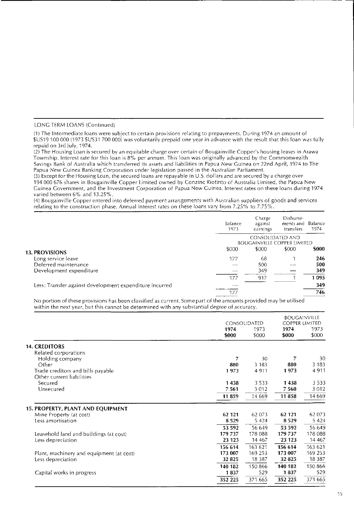#### LONG TERM LOANS (Continued)

(1) The Intermediate loans were subject to certain provisions relating to prepayments. During 1974 an amount of \$US19100 000 (1973 \$US31 700 000) was voluntarily prepaid one year in advance with the result that this loan was fully repaid on 3rd July, 1974.

(2) The Housing Loan is secured by an equitable charge over certain of Bougainville Copper's housing leases in Arawa Township. Interest rate for this loan is 8% per annum. This loan was originally advanced by the Commonwealth Savings Bank of Australia which transferred its assets and liabilities in Papua New Guinea on 22nd April, 1974 to The Papua New Guinea Banking Corporation under legislation passed in the Australian Parliament.

(3) Except for the Housing Loan, the secured loans are repayable in U.S. dollars and are secured by a charge over 194 000 676 shares in Bougainville Copper limited owned by Conzinc Riotinto of Australia Limited, the Papua New Guinea Government, and the Investment Corporation of Papua New Guinea. Interest rates on these loans during 1974 varied between 6% and 13.25%.

(4) Bougainville Copper entered into deferred payment arrangements with Australian suppliers of goods and services relating to the construction phase. Annual interest rates on these loans vary from 7.25% to 7.75%.

|                                                         | Balance<br>1973 | Charge<br>against<br>earnings | Disburse-<br>ments and<br>transfers | Balance<br>1974 |
|---------------------------------------------------------|-----------------|-------------------------------|-------------------------------------|-----------------|
|                                                         |                 | CONSOLIDATED AND              | <b>BOUGAINVILLE COPPER LIMITED</b>  |                 |
| <b>13. PROVISIONS</b>                                   | \$000           | \$000                         | \$000                               | \$000           |
| Long service leave                                      | 177             | -68                           |                                     | 246             |
| Deferred maintenance                                    |                 | 500                           |                                     | 500             |
| Development expenditure                                 |                 | 349                           |                                     | 349             |
|                                                         | 177             | 917                           |                                     | 1095            |
| Less: Transfer against development expenditure incurred |                 |                               |                                     | 349             |
|                                                         | 177             |                               |                                     | 746             |

No portion of these provisions has been classified as current. Some part of the amounts provided may be utilised within the next year, but this cannot be determined with any substantial degree of accuracy.

|                                          | <b>CONSOLIDATED</b> |               |               | <b>BOUGAINVILLE</b><br><b>COPPER LIMITED</b> |  |
|------------------------------------------|---------------------|---------------|---------------|----------------------------------------------|--|
|                                          | 1974<br>\$000       | 1973<br>\$000 | 1974<br>\$000 | 1973<br>\$000                                |  |
| <b>14. CREDITORS</b>                     |                     |               |               |                                              |  |
| Related corporations                     |                     |               |               |                                              |  |
| Holding company                          | 7                   | 30            | 7             | 30                                           |  |
| Other                                    | 880                 | 3 1 8 3       | 880           | 3 1 8 3                                      |  |
| Trade creditors and bills payable        | 1973                | 4 9 1 1       | 1973          | 4911                                         |  |
| Other current liabilities                |                     |               |               |                                              |  |
| Secured                                  | 1438                | 3533          | 1438          | 3533                                         |  |
| Unsecured                                | 7561                | 3 0 1 2       | 7560          | 3012                                         |  |
|                                          | 11859               | 14 6 6 9      | 11858         | 14 6 6 9                                     |  |
| 15. PROPERTY, PLANT AND EQUIPMENT        |                     |               |               |                                              |  |
| Mine Property (at cost)                  | 62 121              | 62 073        | 62 121        | 62 073                                       |  |
| Less amortisation                        | 8529                | 5424          | 8529          | 5424                                         |  |
|                                          | 53 592              | 56 649        | 53 592        | 56 649                                       |  |
| Leasehold land and buildings (at cost)   | 179 737             | 178 088       | 179 737       | 178 088                                      |  |
| Less depreciation                        | 23 1 23             | 14 4 67       | 23 123        | 14 4 6 7                                     |  |
|                                          | 156 614             | 163 621       | 156 614       | 163 621                                      |  |
| Plant, machinery and equipment (at cost) | 173 007             | 169 253       | 173 007       | 169 253                                      |  |
| Less depreciation                        | 32 825              | 18 3 8 7      | 32 825        | 18 3 8 7                                     |  |
|                                          | 140 182             | 150 866       | 140 182       | 150 866                                      |  |
| Capital works in progress                | 1837                | 529           | 1837          | 529                                          |  |
|                                          | 352 225             | 371 665       | 352 225       | 371 665                                      |  |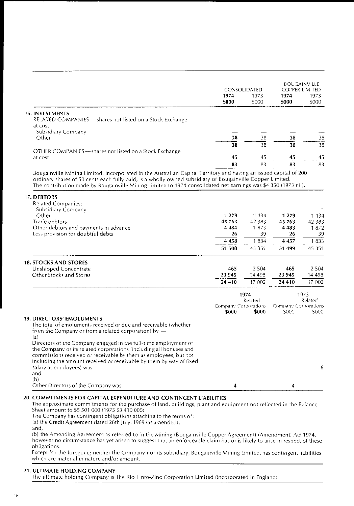|               |                                                           |                                                                                                                  | <b>BOUGAINVILLE</b><br>COPPER LIMITED                                                                                                                                                                                                                                                                                                                                                                                              |  |
|---------------|-----------------------------------------------------------|------------------------------------------------------------------------------------------------------------------|------------------------------------------------------------------------------------------------------------------------------------------------------------------------------------------------------------------------------------------------------------------------------------------------------------------------------------------------------------------------------------------------------------------------------------|--|
| 1974<br>\$000 | 1973<br>\$000                                             | 1974<br>\$000                                                                                                    | 1973<br>\$000                                                                                                                                                                                                                                                                                                                                                                                                                      |  |
|               |                                                           |                                                                                                                  |                                                                                                                                                                                                                                                                                                                                                                                                                                    |  |
|               |                                                           |                                                                                                                  |                                                                                                                                                                                                                                                                                                                                                                                                                                    |  |
|               |                                                           |                                                                                                                  |                                                                                                                                                                                                                                                                                                                                                                                                                                    |  |
| 38            | 38                                                        | 38                                                                                                               | 38                                                                                                                                                                                                                                                                                                                                                                                                                                 |  |
| 38            | 38                                                        | 38                                                                                                               | 38                                                                                                                                                                                                                                                                                                                                                                                                                                 |  |
|               |                                                           |                                                                                                                  | 45                                                                                                                                                                                                                                                                                                                                                                                                                                 |  |
|               |                                                           |                                                                                                                  | 83                                                                                                                                                                                                                                                                                                                                                                                                                                 |  |
|               |                                                           |                                                                                                                  |                                                                                                                                                                                                                                                                                                                                                                                                                                    |  |
|               |                                                           |                                                                                                                  |                                                                                                                                                                                                                                                                                                                                                                                                                                    |  |
|               |                                                           |                                                                                                                  |                                                                                                                                                                                                                                                                                                                                                                                                                                    |  |
|               |                                                           |                                                                                                                  | 1<br>1 1 3 4                                                                                                                                                                                                                                                                                                                                                                                                                       |  |
| 45763         | 42 383                                                    | 45763                                                                                                            | 42 3 8 3                                                                                                                                                                                                                                                                                                                                                                                                                           |  |
| 4 4 3 4       | 1873                                                      | 4483                                                                                                             | 1872                                                                                                                                                                                                                                                                                                                                                                                                                               |  |
| 26            | 39                                                        | 26                                                                                                               | 39                                                                                                                                                                                                                                                                                                                                                                                                                                 |  |
|               |                                                           |                                                                                                                  | 1833                                                                                                                                                                                                                                                                                                                                                                                                                               |  |
|               |                                                           |                                                                                                                  | 45 351                                                                                                                                                                                                                                                                                                                                                                                                                             |  |
|               |                                                           |                                                                                                                  |                                                                                                                                                                                                                                                                                                                                                                                                                                    |  |
| 465           | 2 5 0 4                                                   | 465                                                                                                              | 2 5 0 4                                                                                                                                                                                                                                                                                                                                                                                                                            |  |
|               |                                                           |                                                                                                                  | 14 4 98                                                                                                                                                                                                                                                                                                                                                                                                                            |  |
|               |                                                           |                                                                                                                  | 17 002                                                                                                                                                                                                                                                                                                                                                                                                                             |  |
|               | 1974                                                      |                                                                                                                  | 1973                                                                                                                                                                                                                                                                                                                                                                                                                               |  |
|               |                                                           |                                                                                                                  | Related                                                                                                                                                                                                                                                                                                                                                                                                                            |  |
| \$000         | \$000                                                     | \$000                                                                                                            | <b>SOOO</b>                                                                                                                                                                                                                                                                                                                                                                                                                        |  |
|               |                                                           |                                                                                                                  |                                                                                                                                                                                                                                                                                                                                                                                                                                    |  |
|               |                                                           |                                                                                                                  |                                                                                                                                                                                                                                                                                                                                                                                                                                    |  |
|               |                                                           |                                                                                                                  |                                                                                                                                                                                                                                                                                                                                                                                                                                    |  |
|               |                                                           |                                                                                                                  | 6                                                                                                                                                                                                                                                                                                                                                                                                                                  |  |
|               |                                                           | 4                                                                                                                |                                                                                                                                                                                                                                                                                                                                                                                                                                    |  |
|               | 45<br>83<br>1279<br>4 4 5 8<br>51500<br>23 945<br>24 4 10 | CONSOLIDATED<br>45<br>83<br>1 1 3 4<br>1834<br>45 3 5 1<br>14 4 9 8<br>17 002<br>Related<br>Company Corporations | 45<br>83<br>Bougainville Mining Limited, incorporated in the Australian Capital Territory and having an issued capital of 200<br>ordinary shares of 50 cents each fully paid, is a wholly owned subsidiary of Bougainville Copper Limited.<br>The contribution made by Bougainville Mining Limited to 1974 consolidated net earnings was \$4 350 (1973 nil).<br>1279<br>4457<br>51499<br>23 945<br>24 4 10<br>Company Corporations |  |

### 20. COMMITMENTS FOR CAPITAL EXPENDITURE AND CONTINGENT LIABILITIES

The approximate commitments for the purchase of land, buildings, plant and equipment not reflected in the Balance Sheet amount to 55 501000 (1973 \$3 410 000)

The Company has contingent obligations attaching to the terms of:

(a) the Credit Agreement dated 28th July, 1969 (as amended).

and,

(b) the Amending Agreement as referred to in the Mining (Bougainville Copper Agreement) (Amendment) Act 1974, however no circumstance has yet arisen to suggest that an enforceable claim has or is likely to arise in respect of these obligations.

Except for the foregoing neither the Company nor its subsidiary, Bougainville Mining Limited, has contingent liabilities which are material in nature and/or amount.

### 21. ULTIMATE HOLDING COMPANY

The ultimate holding Company is The Rio Tinto-Zinc Corporation Limited (incorporated in England).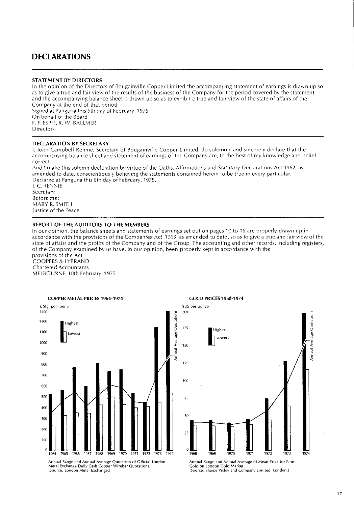# **DEClARATIONS**

### STATEMENT BY DIRECTORS

In the opinion of the Directors of Bougainville Copper Limited the accompanying statement of earnings is drawn up so as to give a true and fair view of the results of the business of the Company for the period covered by the statement and the accompanying balance sheet is drawn up so as to exhibit a true and fair view of the state of affairs of the Company at the end of that period. Signed at Panguna this 6th day of February, 1975. On behalf of the Board F. F. ESPIE, R. W. BALLMER Directors

#### DECLARATION BY SECRETARY

I, John Campbell Rennie, Secretary of Bougainville Copper Limited, do solemnly and sincerely declare that the accompanying balance sheet and statement of earnings of the Company are, to the best of my knowledge and belief correct.

And I make this solemn declaration by virtue of the Oaths, Affirmations and Statutory Declarations Act 1962, as amended to date, conscientiously believing the statements contained herein to be true in every particular. Declared at Panguna this 6th day of February, 1975.

J. C. RENNIE Secretary Before me: MARY R. SMITH Justice of the Peace

#### REPORT OF THE AUDITORS TO THE MEMBERS

In our opinion, the balance sheets and statements of earnings set out on pages 10 to 16 are properly drawn up in accordance with the provisions of the Companies Act 1963, as amended to date, so as to give a true and fair view of the state of affairs and the profits of the Company and of the Croup. The accounting and other records, including registers, of the Company examined by us have, in our opinion, been properly kept in accordance with the

provisions of the Act. COOPERS & LYBRAND

Chartered Accountants MELBOURNE. 10th February, 1975



Annual Range and Annual Average Quotation of Official London Metal Exchange Daily Cash Copper Wirebar Quotations. (Source: London Metal Exchange.)



Gold on London Gold Market. (Source: Sharps Pixley and Company Limited, London.)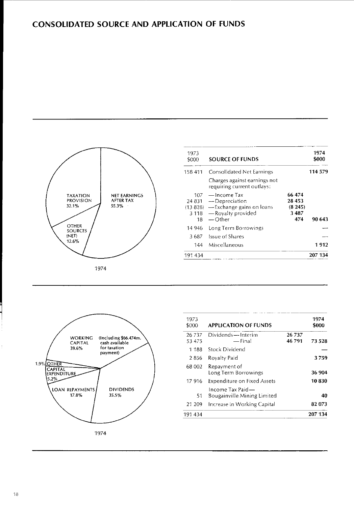# CONSOLIDATED SOURCE AND APPLICATION OF FUNDS



| 1973<br>\$000 | <b>SOURCE OF FUNDS</b>                                     |            | 1974<br>\$000 |
|---------------|------------------------------------------------------------|------------|---------------|
| 158 411       | Consolidated Net Earnings                                  |            | 114 579       |
|               | Charges against earnings not<br>requiring current outlays: |            |               |
| 107 -         | — Income Tax                                               | 66 474     |               |
|               | 24 831 $\rightarrow$ Depreciation                          | 28 453     |               |
| (13 828)      | -Exchange gains on loans                                   | $(8\;245)$ |               |
| 3 1 1 8       | — Royalty provided                                         | 3487       |               |
| 18            | —Other                                                     | 474        | 90 643        |
| 14 946        | Long Term Borrowings                                       |            |               |
| 3687          | Issue of Shares                                            |            |               |
| 144           | Miscellaneous                                              |            | 1 912         |
| 191434        |                                                            |            | 207 134       |



| 1973<br>\$000   | <b>APPLICATION OF FUNDS</b>                     |                  | 1974<br>\$000 |
|-----------------|-------------------------------------------------|------------------|---------------|
| 26737<br>53 475 | Dividends-Interim<br>— Final                    | 26 737<br>46 791 | 73.528        |
| 1 188           | Stock Dividend                                  |                  |               |
| 2 8 5 6         | Rovalty Paid                                    |                  | 3759          |
| 68 002          | Repayment of<br>Long Term Borrowings            |                  | 36 904        |
| 17916           | Expenditure on Fixed Assets                     |                  | 10830         |
| 51              | Income Tax Paid—<br>Bougainville Mining Limited |                  | 40            |
| 21 209          | Increase in Working Capital                     |                  | 82 073        |
| 191 434         |                                                 |                  | 207 134       |

 $\frac{1}{2}$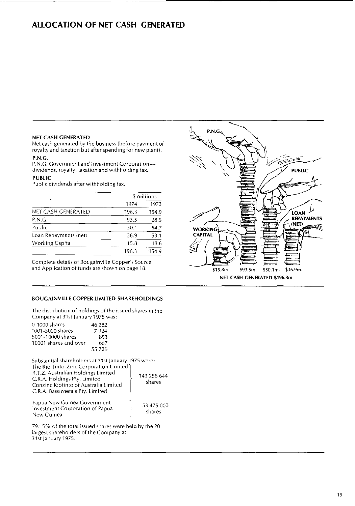## ALLOCATION OF NET CASH GENERATED

#### NET CASH GENERATED

Net cash generated by the business (before payment of royalty and taxation but after spending for new plant),

### P.N.G.

P.N.G. Government and Investment Corporationdividends, royalty, taxation and withholding tax.

### PUBLIC

Public dividends after withholding tax.

|                        | \$ millions |       |
|------------------------|-------------|-------|
|                        | 1974        | 1973  |
| NET CASH GENERATED     | 196.3       | 154.9 |
| P.N.G.                 | 93.5        | 28.5  |
| Public                 | 50.1        | 54.7  |
| Loan Repayments (net)  | 36.9        | 53.1  |
| <b>Working Capital</b> | 15.8        | 18.6  |
|                        | 196.3       | 154.9 |

Complete details of Bougainville Copper's Source and Application of funds are shown on page 18.

### BOUGAINVlllE COPPER LIMITED SHAREHOLDINGS

The distribution of holdings of the issued shares in the Company at 31st January 1975 was:

| 0-1000 shares         | 46 282 |
|-----------------------|--------|
| 1001-5000 shares      | 7924   |
| 5001-10000 shares     | 853    |
| 10001 shares and over | 667    |
|                       | 55726  |

Substantial shareholders at 31st January 1975 were: The Rio Tinto-Zinc Corporation Limited

| R.T.Z. Australian Holdings Limited<br>C.R.A. Holdings Pty. Limited<br>Conzinc Riotinto of Australia Limited<br>C.R.A. Base Metals Pty. Limited | 143 258 644<br>shares |
|------------------------------------------------------------------------------------------------------------------------------------------------|-----------------------|
| Papua New Guinea Government<br>Investment Corporation of Papua<br>New Guinea                                                                   | 53 475 000<br>shares  |

79.15% of the total issued shares were held by the 20 largest shareholders of the Company at 31st January 1975.

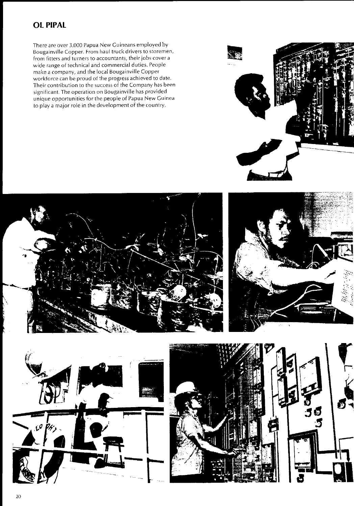# **OL PIPAL**

There are over 3,000 Papua New Guineans employed by Bougainville Copper. From haul truck drivers to storemen, from fitters and turners to accountants, their jobs cover a wide range of technical and commercial duties. People make a company, and the local Bougainville Copper workforce can be proud of the progress achieved to date. Their contribution to the success of the Company has been significant. The operation on Bougainville has provided unique opportunities for the people of Papua New Guinea to playa major role in the development of the country.







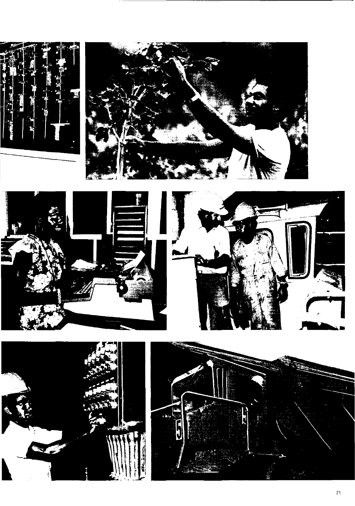



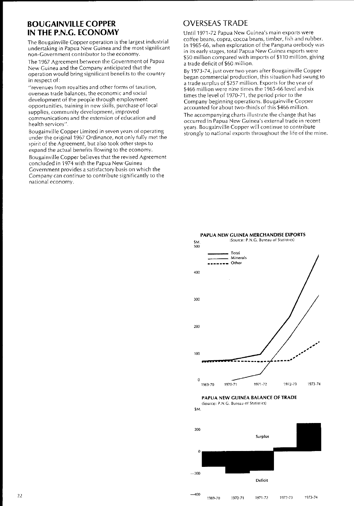# BOUGAINVllLE COPPER IN THE P.N.G. ECONOMY

The Bougainville Copper operation is the largest industrial undertaking in Papua New Guinea and the most significant non-Government contributor to the economy.

The 1967 Agreement between the Government of Papua New Guinea and the Company anticipated that the operation would bring significant benefits to the country in respect of:

"revenues from royalties and other forms of taxation, overseas trade balances, the economic and social development of the people through employment opportunities, training in new skills, purchase of local supplies, community development, improved communications and the extension of education and health services".

Bougainville Copper Limited in seven years of operating under the original 1967 Ordinance, not only fully met the spirit of the Agreement, but also took other steps to expand the actual benefits flowing to the economy. Bougainville Copper believes that the revised Agreement concluded in 1974 with the Papua New Guinea Government provides a satisfactory basis on which the Company can continue to contribute significantly to the national economy.

# OVERSEAS TRADE

Until 1971-72 Papua New Guinea's main exports were coffee beans, copra, cocoa beans, timber, fish and rubber. In 1965-66, when exploration of the Panguna orebody was in its early stages, total Papua New Guinea exports were \$50 million compared with imports of \$110 million, giving a trade deficit of \$60 million.

By 1973-74, just over two years after Bougainville Copper began commercial production, this situation had swung to a trade surplus of \$257 million. Exports for the year of \$466 million were nine times the 1965-66 level and six times the level of 1970-71, the period prior to the Company beginning operations. Bougainville Copper accounted for about two-thirds of this \$466 million. The accompanying charts illustrate the change that has occurred in Papua New Guinea's external trade in recent years. Bougainville Copper will continue to contribute strongly to national exports throughout the life ot the mine.

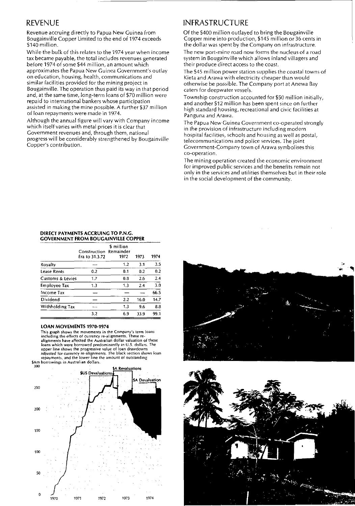## REVENUE

Revenue accruing directly to Papua New Guinea from Bougainville Copper Limited to the end of 1974 exceeds \$140 million.

While the bulk of this relates to the 1974 year when income tax became payable, the total includes revenues generated before 1974 of some \$44 million, an amount which approximates the Papua New Guinea Government's outlay on education, housing, health, communications and similar facilities provided for the mining project in Bougainville. The operation thus paid its way in that period and, at the same time, long-term loans of \$70 million were repaid to international bankers whose participation assisted in making the mine possible. A further \$37 million of loan repayments were made in 1974.

Although the annual figure will vary with Company income which itself varies with metal prices it is clear that Government revenues and, through them, national progress will be considerably strengthened by Bougainville Copper's contribution.

# INFRASTRUCTURE

Of the \$400 million outlayed to bring the Bougainville Copper mine into production, \$145 million or 36 cents in the dollar was spent by the Company on infrastructure. The new port-mine road now forms the nucleus of a road system in Bougainville which allows inland villagers and their produce direct access to the coast.

The \$45 million power station supplies the coastal towns of Kieta and Arawa with electricity cheaper than would otherwise be possible. The Company port at Anewa Bay caters for deepwater vessels.

Township construction accounted for \$50 million initially, and another \$12 million has been spent since on further high standard housing, recreational and civic facilities at Panguna and Arawa.

The Papua New Guinea Government co-operated strongly in the provision of infrastructure including modern hospital facilities, schools and housing as well as postal, telecommunications and police services. The joint Government-Company town of Arawa symbolises this co-operation.

The mining operation created the economic environment for improved public services and the benefits remain not only in the services and utilities themselves but in their role in the social development of the community.

#### DIRECT PAYMENTS ACCRUING TO P.N.G. GOVERNMENT FROM BOUGAINVILLE COPPER

|                             | Construction Remainder<br>Era to 31.3.72 | \$ million<br>1972 | 1973 | 1974 |
|-----------------------------|------------------------------------------|--------------------|------|------|
| Royalty                     |                                          | 1.2                | 3.1  | 3.5  |
| <b>Lease Rents</b>          | 0.2                                      | 0.1                | 0.2  | 0.2  |
| <b>Customs &amp; Levies</b> | 1.7                                      | 0.8                | 2.6  | 2.4  |
| <b>Employee Tax</b>         | 1.3                                      | 1.3                | 2.4  | 3.0  |
| Income Tax                  |                                          |                    |      | 66.5 |
| Dividend                    |                                          | 2.2                | 16.0 | 14.7 |
| Withholding Tax             |                                          | 1.3                | 9.6  | 8.8  |
|                             | 3.2                                      | 6.9                | 33.9 | 99.1 |

#### LOAN MOVEMENTS 1970-1974

This graph shows the movements in the Company's term Ioans<br>including the effects of currency re-alignments. These re-<br>alignments have affected the Australian dollar valuation of these loans which were borrowed predominantly in U.S. dollars. The upper line shows the progressive value of loan drawdowns adjusted for currency re-alignments. The black section shows loan repayments, and the lower line the amount of outstanding \$Am borrowings in Australian dollars.